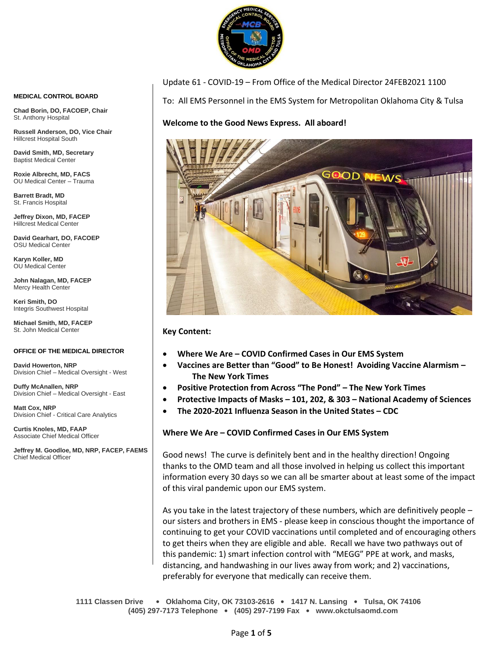

Update 61 - COVID-19 – From Office of the Medical Director 24FEB2021 1100

To: All EMS Personnel in the EMS System for Metropolitan Oklahoma City & Tulsa

# **Welcome to the Good News Express. All aboard!**



**Key Content:**

- **Where We Are – COVID Confirmed Cases in Our EMS System**
- **Vaccines are Better than "Good" to Be Honest! Avoiding Vaccine Alarmism – The New York Times**
- **Positive Protection from Across "The Pond" – The New York Times**
- **Protective Impacts of Masks – 101, 202, & 303 – National Academy of Sciences**
- **The 2020-2021 Influenza Season in the United States – CDC**

### **Where We Are – COVID Confirmed Cases in Our EMS System**

Good news! The curve is definitely bent and in the healthy direction! Ongoing thanks to the OMD team and all those involved in helping us collect this important information every 30 days so we can all be smarter about at least some of the impact of this viral pandemic upon our EMS system.

As you take in the latest trajectory of these numbers, which are definitively people – our sisters and brothers in EMS - please keep in conscious thought the importance of continuing to get your COVID vaccinations until completed and of encouraging others to get theirs when they are eligible and able. Recall we have two pathways out of this pandemic: 1) smart infection control with "MEGG" PPE at work, and masks, distancing, and handwashing in our lives away from work; and 2) vaccinations, preferably for everyone that medically can receive them.

**1111 Classen Drive** • **Oklahoma City, OK 73103-2616** • **1417 N. Lansing** • **Tulsa, OK 74106 (405) 297-7173 Telephone** • **(405) 297-7199 Fax** • **www.okctulsaomd.com**

#### **MEDICAL CONTROL BOARD**

**Chad Borin, DO, FACOEP, Chair**  St. Anthony Hospital

**Russell Anderson, DO, Vice Chair** Hillcrest Hospital South

**David Smith, MD, Secretary** Baptist Medical Center

**Roxie Albrecht, MD, FACS** OU Medical Center – Trauma

**Barrett Bradt, MD** St. Francis Hospital

**Jeffrey Dixon, MD, FACEP** Hillcrest Medical Center

**David Gearhart, DO, FACOEP** OSU Medical Center

**Karyn Koller, MD** OU Medical Center

**John Nalagan, MD, FACEP** Mercy Health Center

**Keri Smith, DO** Integris Southwest Hospital

**Michael Smith, MD, FACEP** St. John Medical Center

#### **OFFICE OF THE MEDICAL DIRECTOR**

**David Howerton, NRP** Division Chief – Medical Oversight - West

**Duffy McAnallen, NRP** Division Chief – Medical Oversight - East

**Matt Cox, NRP** Division Chief - Critical Care Analytics

**Curtis Knoles, MD, FAAP** Associate Chief Medical Officer

**Jeffrey M. Goodloe, MD, NRP, FACEP, FAEMS** Chief Medical Officer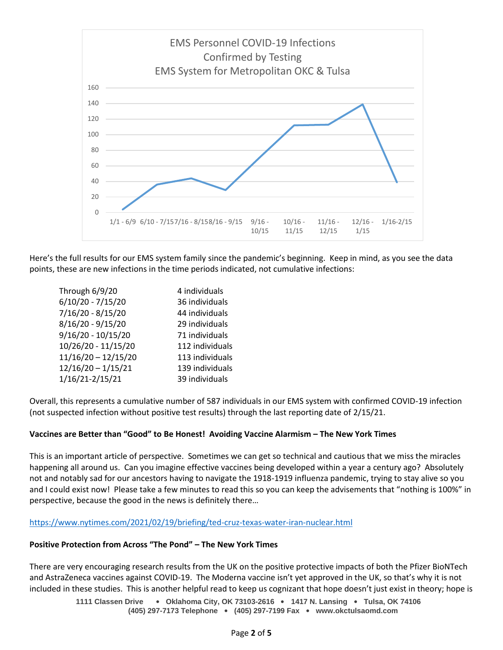

Here's the full results for our EMS system family since the pandemic's beginning. Keep in mind, as you see the data points, these are new infections in the time periods indicated, not cumulative infections:

| Through 6/9/20        | 4 individuals   |
|-----------------------|-----------------|
| 6/10/20 - 7/15/20     | 36 individuals  |
| 7/16/20 - 8/15/20     | 44 individuals  |
| 8/16/20 - 9/15/20     | 29 individuals  |
| 9/16/20 - 10/15/20    | 71 individuals  |
| 10/26/20 - 11/15/20   | 112 individuals |
| $11/16/20 - 12/15/20$ | 113 individuals |
| $12/16/20 - 1/15/21$  | 139 individuals |
| 1/16/21-2/15/21       | 39 individuals  |

Overall, this represents a cumulative number of 587 individuals in our EMS system with confirmed COVID-19 infection (not suspected infection without positive test results) through the last reporting date of 2/15/21.

### **Vaccines are Better than "Good" to Be Honest! Avoiding Vaccine Alarmism – The New York Times**

This is an important article of perspective. Sometimes we can get so technical and cautious that we miss the miracles happening all around us. Can you imagine effective vaccines being developed within a year a century ago? Absolutely not and notably sad for our ancestors having to navigate the 1918-1919 influenza pandemic, trying to stay alive so you and I could exist now! Please take a few minutes to read this so you can keep the advisements that "nothing is 100%" in perspective, because the good in the news is definitely there…

### <https://www.nytimes.com/2021/02/19/briefing/ted-cruz-texas-water-iran-nuclear.html>

### **Positive Protection from Across "The Pond" – The New York Times**

There are very encouraging research results from the UK on the positive protective impacts of both the Pfizer BioNTech and AstraZeneca vaccines against COVID-19. The Moderna vaccine isn't yet approved in the UK, so that's why it is not included in these studies. This is another helpful read to keep us cognizant that hope doesn't just exist in theory; hope is

> **1111 Classen Drive** • **Oklahoma City, OK 73103-2616** • **1417 N. Lansing** • **Tulsa, OK 74106 (405) 297-7173 Telephone** • **(405) 297-7199 Fax** • **www.okctulsaomd.com**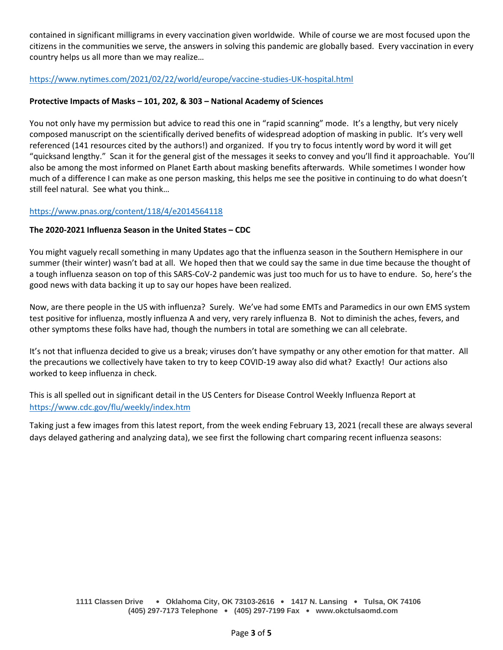contained in significant milligrams in every vaccination given worldwide. While of course we are most focused upon the citizens in the communities we serve, the answers in solving this pandemic are globally based. Every vaccination in every country helps us all more than we may realize…

<https://www.nytimes.com/2021/02/22/world/europe/vaccine-studies-UK-hospital.html>

### **Protective Impacts of Masks – 101, 202, & 303 – National Academy of Sciences**

You not only have my permission but advice to read this one in "rapid scanning" mode. It's a lengthy, but very nicely composed manuscript on the scientifically derived benefits of widespread adoption of masking in public. It's very well referenced (141 resources cited by the authors!) and organized. If you try to focus intently word by word it will get "quicksand lengthy." Scan it for the general gist of the messages it seeks to convey and you'll find it approachable. You'll also be among the most informed on Planet Earth about masking benefits afterwards. While sometimes I wonder how much of a difference I can make as one person masking, this helps me see the positive in continuing to do what doesn't still feel natural. See what you think…

## <https://www.pnas.org/content/118/4/e2014564118>

### **The 2020-2021 Influenza Season in the United States – CDC**

You might vaguely recall something in many Updates ago that the influenza season in the Southern Hemisphere in our summer (their winter) wasn't bad at all. We hoped then that we could say the same in due time because the thought of a tough influenza season on top of this SARS-CoV-2 pandemic was just too much for us to have to endure. So, here's the good news with data backing it up to say our hopes have been realized.

Now, are there people in the US with influenza? Surely. We've had some EMTs and Paramedics in our own EMS system test positive for influenza, mostly influenza A and very, very rarely influenza B. Not to diminish the aches, fevers, and other symptoms these folks have had, though the numbers in total are something we can all celebrate.

It's not that influenza decided to give us a break; viruses don't have sympathy or any other emotion for that matter. All the precautions we collectively have taken to try to keep COVID-19 away also did what? Exactly! Our actions also worked to keep influenza in check.

This is all spelled out in significant detail in the US Centers for Disease Control Weekly Influenza Report at <https://www.cdc.gov/flu/weekly/index.htm>

Taking just a few images from this latest report, from the week ending February 13, 2021 (recall these are always several days delayed gathering and analyzing data), we see first the following chart comparing recent influenza seasons: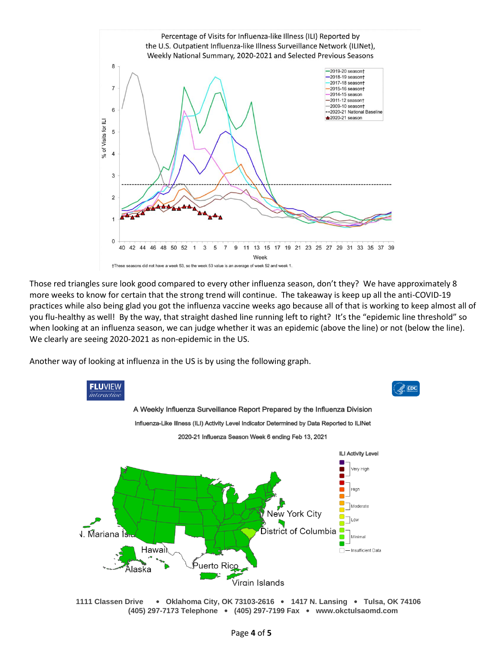

Those red triangles sure look good compared to every other influenza season, don't they? We have approximately 8 more weeks to know for certain that the strong trend will continue. The takeaway is keep up all the anti-COVID-19 practices while also being glad you got the influenza vaccine weeks ago because all of that is working to keep almost all of you flu-healthy as well! By the way, that straight dashed line running left to right? It's the "epidemic line threshold" so when looking at an influenza season, we can judge whether it was an epidemic (above the line) or not (below the line). We clearly are seeing 2020-2021 as non-epidemic in the US.

Another way of looking at influenza in the US is by using the following graph.



**1111 Classen Drive** • **Oklahoma City, OK 73103-2616** • **1417 N. Lansing** • **Tulsa, OK 74106 (405) 297-7173 Telephone** • **(405) 297-7199 Fax** • **www.okctulsaomd.com**